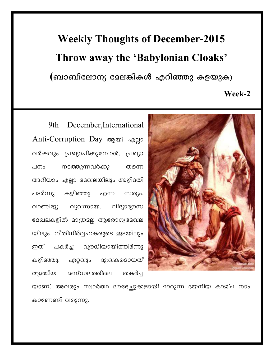## **Weekly Thoughts of December-2015** Throw away the 'Babylonian Cloaks'

(ബാബിലോന്യ മേലങ്കികൾ എറിഞ്ഞു കളയുക)

Week-2

December, International 9th Anti-Corruption Day ആയി എല്ലാ വർഷവും പ്രഖ്യാപിക്കുമ്പോൾ, പ്രഖ്യാ നടത്തുന്നവർക്കു പനം തന്നെ അറിയാം എല്ലാ മേഖലയിലും അഴിമതി പടർന്നു കഴിഞ്ഞു സത്യം. എന്ന ပျွပါပေးပေယ വാണിജ്യ, വ്യവസായ, ഭാഖലകളിൽ മാത്രമല്ല ആരോഗ്യമേഖല യിലും, നീതിനിർവ്വഹകരുടെ ഇടയിലും പകർച്ച വ്യാധിയായിത്തീർന്നു ഇത് ഏറ്റവും ദു:ഖകരമായത് കഴിഞ്ഞു. ആത്മീയ **<u> ദണ്ഡലത്തിലെ</u>** തകർച്ച



യാണ്. അവരും സ്വാർത്ഥ ലാഭേച്ചുക്കളായി മാറുന്ന ദയനീയ കാഴ്ച നാം കാണേണ്ടി വരുന്നു.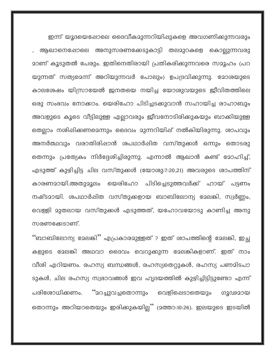ഇന്ന് യൂദയെഷോലെ ദൈവീകമുന്നറിയിഷുകളെ അവഗണിക്കുന്നവരും ആഖാനെഷോലെ അനുസരണക്കേടുകാട്ടി തലമുറകളെ കൊല്ലുന്നവരു <u>ാാണ് കൂടുതൽ പേരും. ഇതിനെതിരായി പ്രതികരിക്കുന്നവരെ സാൂഹം (പറ</u> യുന്നത് സത്യമെന്ന് അറിയുന്നവർ പോലും) ഉപദ്രവിക്കുന്നു. മോശയുടെ കാലശേഷം യിസ്രായേൽ ജനതയെ നയിച്ച യോശുവയുടെ ജീവിതത്തിലെ ഒരു സംഭവം നോക്കാം. യെരിഹോ പിടിച്ചടക്കുവാൻ സഹായിച്ച രാഹാബും അവളുടെ കൂടെ വീട്ടിലുള്ള എല്ലാവരും ജീവനോടിരിക്കുകയും ബാക്കിയുള്ള തെല്ലാം നശിഷിക്കണമെന്നും ദൈവം മുന്നറിയിഷ് നൽകിയിരുന്നു. ശാപവും അനർത്ഥവും വരാതിരിഷാൻ ശപഥാർഷിത വസ്തുക്കൾ ഒന്നും തൊടരു തെന്നും പ്രത്യേകം നിർദ്ദേശിച്ചിരുന്നു. എന്നാൽ ആഖാൻ കണ്ട് മോഹിച്ച്, എടുത്ത് കുഴിച്ചിട്ട ചില വസ്തുക്കൾ (യോശു:7:20,21) അവരുടെ ശാപത്തിന് കാരണമായി.അതുമൂലം പിടിച്ചെടുത്തവർക്ക് ഹായ് പട്ടണം യെരിഹോ നഷ്ടമായി. ശപഥാർഷിത വസ്തുക്കളായ ബാബിലോന്യ മേലങ്കി, സ്വർണ്ണം, വെള്ളി മുതലായ വസ്തുക്കൾ എടുത്തത്, യഹോവയോടു കാണിച്ച അനു സരണക്കേടാണ്.

"ബാബിലോന്യ മേലങ്കി" എപ്രകാരമുള്ളത് ? ഇത് ശാപത്തിന്റെ മേലങ്കി, ഇച്ഛ കളുടെ മേലങ്കി അഥവാ ദൈവം വെറുക്കുന്ന മേലങികളാണ്. ഇത് നാം വീശി എറിയണം. രഹസ്യ ബന്ധങ്ങൾ, രഹസ്യതെറ്റുകൾ, രഹസ്യ പണമിടപാ ടുകൾ, ചില രഹസ്യ സ്വഭാവങ്ങൾ ഇവ ഹൃദയത്തിൽ കുഴിച്ചിട്ടിട്ടുണ്ടോ എന്ന് "മറച്ചുവച്ചതൊന്നും പരിശോധിക്കണം. വെളിഷെടാതെയും ഗുഢമായ തൊന്നും അറിയാതെയും ഇരിക്കുകയില്ല്'' (മത്താ:10:26). ഇലയുടെ ഇടയിൽ